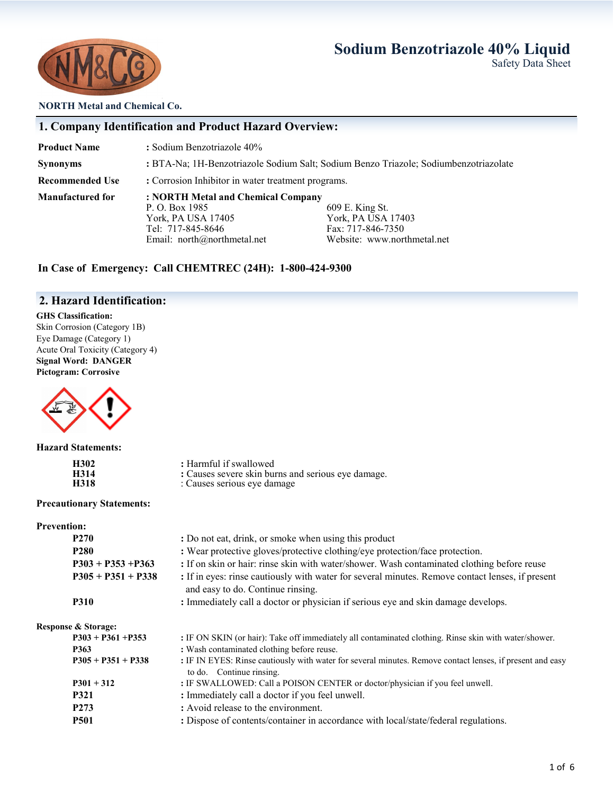## **Sodium Benzotriazole 40% Liquid**



Safety Data Sheet

**NORTH Metal and Chemical Co.**

### **1. Company Identification and Product Hazard Overview:**

**Product Name** : Sodium Benzotriazole 40%

**Synonyms :** BTA-Na; 1H-Benzotriazole Sodium Salt; Sodium Benzo Triazole; Sodiumbenzotriazolate

**Recommended Use : Corrosion Inhibitor in water treatment programs.** 

**Manufactured for : NORTH Metal and Chemical Company**

P. O. Box 1985 609 E. King St.<br>
York, PA USA 17405 609 E. King St. York, PA USA 17405 York, PA USA 17403 Tel: 717-845-8646 Fax: 717-846-7350 Email: north@northmetal.net Website: www.northmetal.net

### **In Case of Emergency: Call CHEMTREC (24H): 1-800-424-9300**

### **2. Hazard Identification:**

#### **GHS Classification:**

Skin Corrosion (Category 1B) Eye Damage (Category 1) Acute Oral Toxicity (Category 4) **Signal Word: DANGER Pictogram: Corrosive**



#### **Hazard Statements:**

| H302        | : Harmful if swallowed                             |
|-------------|----------------------------------------------------|
| <b>H314</b> | : Causes severe skin burns and serious eye damage. |
| H318        | : Causes serious eye damage                        |

#### **Precautionary Statements:**

#### **Prevention:**

|                                | <b>P270</b>          | : Do not eat, drink, or smoke when using this product                                                                                 |
|--------------------------------|----------------------|---------------------------------------------------------------------------------------------------------------------------------------|
|                                | P <sub>280</sub>     | : Wear protective gloves/protective clothing/eye protection/face protection.                                                          |
|                                | $P303 + P353 + P363$ | : If on skin or hair: rinse skin with water/shower. Wash contaminated clothing before reuse                                           |
|                                | $P305 + P351 + P338$ | : If in eyes: rinse cautiously with water for several minutes. Remove contact lenses, if present<br>and easy to do. Continue rinsing. |
|                                | <b>P310</b>          | : Immediately call a doctor or physician if serious eye and skin damage develops.                                                     |
| <b>Response &amp; Storage:</b> |                      |                                                                                                                                       |
|                                | $P303 + P361 + P353$ | : IF ON SKIN (or hair): Take off immediately all contaminated clothing. Rinse skin with water/shower.                                 |
| P363                           |                      | : Wash contaminated clothing before reuse.                                                                                            |
|                                | $P305 + P351 + P338$ | : IF IN EYES: Rinse cautiously with water for several minutes. Remove contact lenses, if present and easy<br>to do. Continue rinsing. |
|                                | $P301 + 312$         | : IF SWALLOWED: Call a POISON CENTER or doctor/physician if you feel unwell.                                                          |
|                                | <b>P321</b>          | : Immediately call a doctor if you feel unwell.                                                                                       |
|                                | P <sub>273</sub>     | : Avoid release to the environment.                                                                                                   |
|                                | <b>P501</b>          | : Dispose of contents/container in accordance with local/state/federal regulations.                                                   |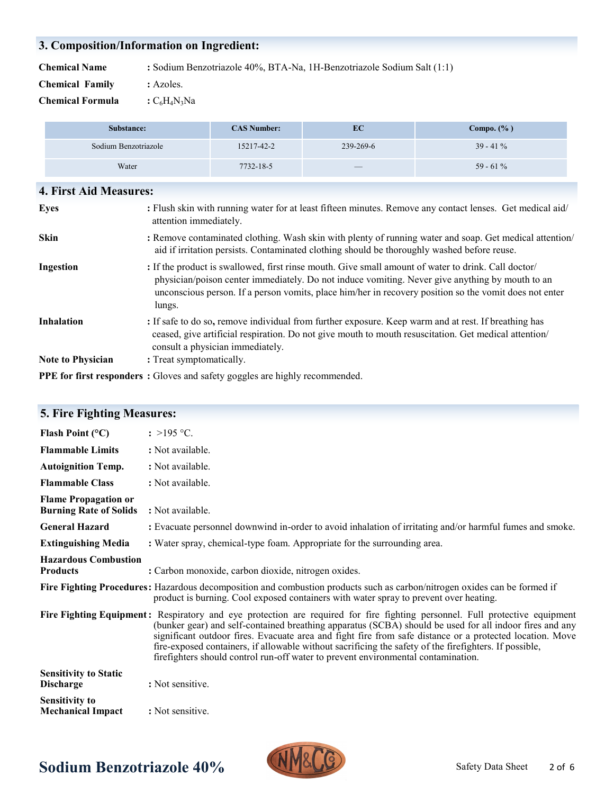## **3. Composition/Information on Ingredient:**

**Chemical Name :** Sodium Benzotriazole 40%, BTA-Na, 1H-Benzotriazole Sodium Salt (1:1)

- **Chemical Family :** Azoles.
- **Chemical Formula**  $:C_6H_4N_3Na$

| Substance:           | <b>CAS Number:</b> | EC                       | Compo. $(\% )$ |
|----------------------|--------------------|--------------------------|----------------|
| Sodium Benzotriazole | 15217-42-2         | 239-269-6                | $39 - 41\%$    |
| Water                | 7732-18-5          | $\qquad \qquad - \qquad$ | 59 - 61 $%$    |

| <b>4. First Aid Measures:</b>                                                                                                                                                                                                                                                                                              |
|----------------------------------------------------------------------------------------------------------------------------------------------------------------------------------------------------------------------------------------------------------------------------------------------------------------------------|
| : Flush skin with running water for at least fifteen minutes. Remove any contact lenses. Get medical aid/<br>attention immediately.                                                                                                                                                                                        |
| : Remove contaminated clothing. Wash skin with plenty of running water and soap. Get medical attention/<br>aid if irritation persists. Contaminated clothing should be thoroughly washed before reuse.                                                                                                                     |
| : If the product is swallowed, first rinse mouth. Give small amount of water to drink. Call doctor/<br>physician/poison center immediately. Do not induce vomiting. Never give anything by mouth to an<br>unconscious person. If a person vomits, place him/her in recovery position so the vomit does not enter<br>lungs. |
| : If safe to do so, remove individual from further exposure. Keep warm and at rest. If breathing has<br>ceased, give artificial respiration. Do not give mouth to mouth resuscitation. Get medical attention/<br>consult a physician immediately.                                                                          |
| : Treat symptomatically.                                                                                                                                                                                                                                                                                                   |
|                                                                                                                                                                                                                                                                                                                            |

**PPE for first responders :** Gloves and safety goggles are highly recommended.

| <b>5. Fire Fighting Measures:</b>                            |                                                                                                                                                                                                                                                                                                                                                                                                                                                                                                                                                   |
|--------------------------------------------------------------|---------------------------------------------------------------------------------------------------------------------------------------------------------------------------------------------------------------------------------------------------------------------------------------------------------------------------------------------------------------------------------------------------------------------------------------------------------------------------------------------------------------------------------------------------|
| Flash Point $(°C)$                                           | : >195 °C.                                                                                                                                                                                                                                                                                                                                                                                                                                                                                                                                        |
| <b>Flammable Limits</b>                                      | : Not available.                                                                                                                                                                                                                                                                                                                                                                                                                                                                                                                                  |
| <b>Autoignition Temp.</b>                                    | : Not available.                                                                                                                                                                                                                                                                                                                                                                                                                                                                                                                                  |
| <b>Flammable Class</b>                                       | : Not available.                                                                                                                                                                                                                                                                                                                                                                                                                                                                                                                                  |
| <b>Flame Propagation or</b><br><b>Burning Rate of Solids</b> | : Not available.                                                                                                                                                                                                                                                                                                                                                                                                                                                                                                                                  |
| <b>General Hazard</b>                                        | : Evacuate personnel downwind in-order to avoid inhalation of irritating and/or harmful fumes and smoke.                                                                                                                                                                                                                                                                                                                                                                                                                                          |
| <b>Extinguishing Media</b>                                   | : Water spray, chemical-type foam. Appropriate for the surrounding area.                                                                                                                                                                                                                                                                                                                                                                                                                                                                          |
| <b>Hazardous Combustion</b><br><b>Products</b>               | : Carbon monoxide, carbon dioxide, nitrogen oxides.                                                                                                                                                                                                                                                                                                                                                                                                                                                                                               |
|                                                              | Fire Fighting Procedures: Hazardous decomposition and combustion products such as carbon/nitrogen oxides can be formed if<br>product is burning. Cool exposed containers with water spray to prevent over heating.                                                                                                                                                                                                                                                                                                                                |
|                                                              | Fire Fighting Equipment: Respiratory and eye protection are required for fire fighting personnel. Full protective equipment<br>(bunker gear) and self-contained breathing apparatus (SCBA) should be used for all indoor fires and any<br>significant outdoor fires. Evacuate area and fight fire from safe distance or a protected location. Move<br>fire-exposed containers, if allowable without sacrificing the safety of the firefighters. If possible,<br>firefighters should control run-off water to prevent environmental contamination. |
| <b>Sensitivity to Static</b><br><b>Discharge</b>             | : Not sensitive.                                                                                                                                                                                                                                                                                                                                                                                                                                                                                                                                  |
| <b>Sensitivity to</b><br><b>Mechanical Impact</b>            | : Not sensitive.                                                                                                                                                                                                                                                                                                                                                                                                                                                                                                                                  |

# **Sodium Benzotriazole 40%** NMXLLG Safety Data Sheet

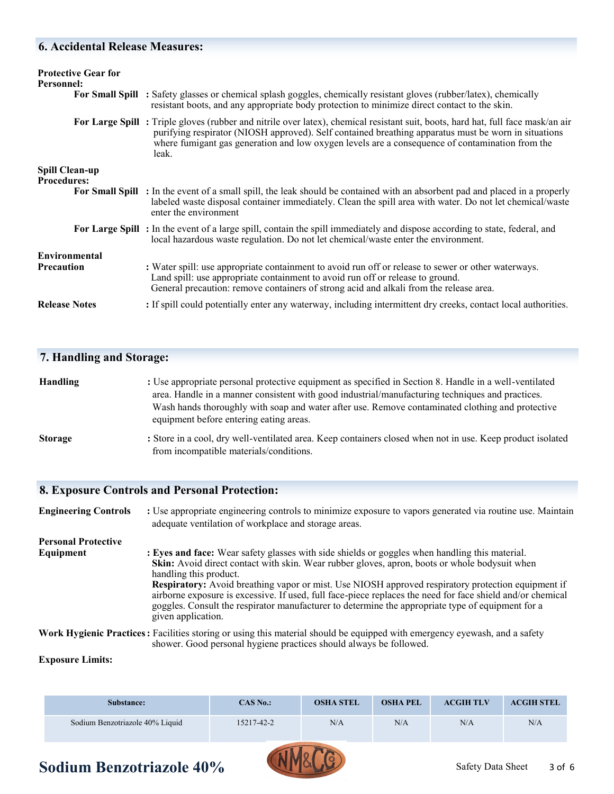#### **6. Accidental Release Measures:**

| <b>Protective Gear for</b><br>Personnel:    | For Small Spill : Safety glasses or chemical splash goggles, chemically resistant gloves (rubber/latex), chemically<br>resistant boots, and any appropriate body protection to minimize direct contact to the skin.                                                                                                                                 |
|---------------------------------------------|-----------------------------------------------------------------------------------------------------------------------------------------------------------------------------------------------------------------------------------------------------------------------------------------------------------------------------------------------------|
|                                             | For Large Spill: Triple gloves (rubber and nitrile over latex), chemical resistant suit, boots, hard hat, full face mask/an air<br>purifying respirator (NIOSH approved). Self contained breathing apparatus must be worn in situations<br>where fumigant gas generation and low oxygen levels are a consequence of contamination from the<br>leak. |
| <b>Spill Clean-up</b><br><b>Procedures:</b> |                                                                                                                                                                                                                                                                                                                                                     |
|                                             | For Small Spill : In the event of a small spill, the leak should be contained with an absorbent pad and placed in a properly<br>labeled waste disposal container immediately. Clean the spill area with water. Do not let chemical/waste<br>enter the environment                                                                                   |
|                                             | For Large Spill: In the event of a large spill, contain the spill immediately and dispose according to state, federal, and<br>local hazardous waste regulation. Do not let chemical/waste enter the environment.                                                                                                                                    |
| <b>Environmental</b>                        |                                                                                                                                                                                                                                                                                                                                                     |
| <b>Precaution</b>                           | : Water spill: use appropriate containment to avoid run off or release to sewer or other waterways.<br>Land spill: use appropriate containment to avoid run off or release to ground.<br>General precaution: remove containers of strong acid and alkali from the release area.                                                                     |
| <b>Release Notes</b>                        | : If spill could potentially enter any waterway, including intermittent dry creeks, contact local authorities.                                                                                                                                                                                                                                      |

### **7. Handling and Storage:**

| <b>Handling</b> | : Use appropriate personal protective equipment as specified in Section 8. Handle in a well-ventilated |
|-----------------|--------------------------------------------------------------------------------------------------------|
|                 | area. Handle in a manner consistent with good industrial/manufacturing techniques and practices.       |
|                 | Wash hands thoroughly with soap and water after use. Remove contaminated clothing and protective       |
|                 | equipment before entering eating areas.                                                                |
|                 |                                                                                                        |

**Storage** : Store in a cool, dry well-ventilated area. Keep containers closed when not in use. Keep product isolated from incompatible materials/conditions.

#### **8. Exposure Controls and Personal Protection:**

**Engineering Controls** : Use appropriate engineering controls to minimize exposure to vapors generated via routine use. Maintain adequate ventilation of workplace and storage areas. **Personal Protective Equipment** : Eyes and face: Wear safety glasses with side shields or goggles when handling this material. **Skin:** Avoid direct contact with skin. Wear rubber gloves, apron, boots or whole bodysuit when handling this product. **Respiratory:** Avoid breathing vapor or mist. Use NIOSH approved respiratory protection equipment if airborne exposure is excessive. If used, full face-piece replaces the need for face shield and/or chemical goggles. Consult the respirator manufacturer to determine the appropriate type of equipment for a given application. **Work Hygienic Practices:** Facilities storing or using this material should be equipped with emergency eyewash, and a safety shower. Good personal hygiene practices should always be followed.

#### **Exposure Limits:**

| <b>Substance:</b>               | CAS No.:   | <b>OSHA STEL</b> | <b>OSHA PEL</b> | <b>ACGIH TLV</b> | <b>ACGIH STEL</b> |
|---------------------------------|------------|------------------|-----------------|------------------|-------------------|
| Sodium Benzotriazole 40% Liquid | 15217-42-2 | N/A              | N/A             | N/A              | N/A               |

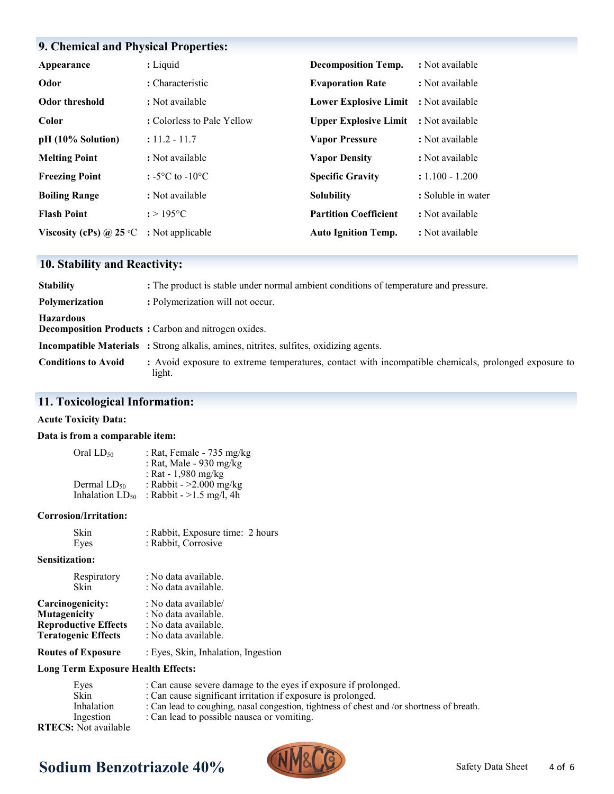## **9. Chemical and Physical Properties:**

| Appearance                       | : Liquid                            | <b>Decomposition Temp.</b>   | : Not available    |
|----------------------------------|-------------------------------------|------------------------------|--------------------|
| Odor                             | : Characteristic                    | <b>Evaporation Rate</b>      | : Not available    |
| <b>Odor threshold</b>            | : Not available                     | <b>Lower Explosive Limit</b> | : Not available    |
| Color                            | : Colorless to Pale Yellow          | <b>Upper Explosive Limit</b> | : Not available    |
| pH (10% Solution)                | $: 11.2 - 11.7$                     | <b>Vapor Pressure</b>        | : Not available    |
| <b>Melting Point</b>             | : Not available                     | <b>Vapor Density</b>         | : Not available    |
| <b>Freezing Point</b>            | : $-5^{\circ}$ C to $-10^{\circ}$ C | <b>Specific Gravity</b>      | $: 1.100 - 1.200$  |
| <b>Boiling Range</b>             | : Not available                     | <b>Solubility</b>            | : Soluble in water |
| <b>Flash Point</b>               | $: > 195$ °C                        | <b>Partition Coefficient</b> | : Not available    |
| Viscosity (cPs) @ 25 $\degree$ C | : Not applicable                    | <b>Auto Ignition Temp.</b>   | : Not available    |

## **10. Stability and Reactivity:**

| <b>Stability</b>           | : The product is stable under normal ambient conditions of temperature and pressure.                           |
|----------------------------|----------------------------------------------------------------------------------------------------------------|
| <b>Polymerization</b>      | : Polymerization will not occur.                                                                               |
| <b>Hazardous</b>           | <b>Decomposition Products:</b> Carbon and nitrogen oxides.                                                     |
|                            | <b>Incompatible Materials</b> : Strong alkalis, amines, nitrites, sulfites, oxidizing agents.                  |
| <b>Conditions to Avoid</b> | : Avoid exposure to extreme temperatures, contact with incompatible chemicals, prolonged exposure to<br>light. |

## **11. Toxicological Information:**

#### **Acute Toxicity Data:**

#### **Data is from a comparable item:**

| Oral $LD_{50}$       | : Rat, Female - 735 mg/kg  |
|----------------------|----------------------------|
|                      | : Rat, Male - 930 mg/kg    |
|                      | : Rat - $1,980$ mg/kg      |
| Dermal $LD_{50}$     | : Rabbit - >2.000 mg/kg    |
| Inhalation $LD_{50}$ | : Rabbit - $>1.5$ mg/l, 4h |

#### **Corrosion/Irritation:**

| Skin | : Rabbit, Exposure time: 2 hours |  |
|------|----------------------------------|--|
| Eyes | : Rabbit, Corrosive              |  |

#### **Sensitization:**

| Respiratory<br>Skin         | : No data available.<br>: No data available. |
|-----------------------------|----------------------------------------------|
| Carcinogenicity:            | : No data available/                         |
| <b>Mutagenicity</b>         | : No data available.                         |
| <b>Reproductive Effects</b> | : No data available.                         |
| <b>Teratogenic Effects</b>  | : No data available.                         |
|                             |                                              |

#### **Routes of Exposure** : Eyes, Skin, Inhalation, Ingestion

#### **Long Term Exposure Health Effects:**

| : Can cause severe damage to the eyes if exposure if prolonged.                           |
|-------------------------------------------------------------------------------------------|
| : Can cause significant irritation if exposure is prolonged.                              |
| : Can lead to coughing, nasal congestion, tightness of chest and /or shortness of breath. |
| : Can lead to possible nausea or vomiting.                                                |
|                                                                                           |
|                                                                                           |

# **Sodium Benzotriazole 40% CONTY Safety Data Sheet** Safety Data Sheet

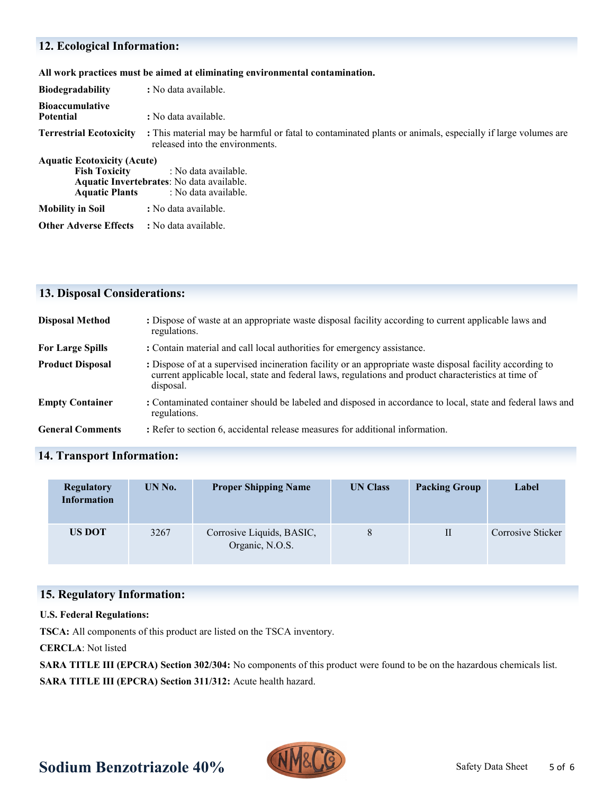## **12. Ecological Information:**

**All work practices must be aimed at eliminating environmental contamination.** 

| <b>Biodegradability</b>                                                             | : No data available.                                                                                                                          |  |  |  |  |
|-------------------------------------------------------------------------------------|-----------------------------------------------------------------------------------------------------------------------------------------------|--|--|--|--|
| <b>Bioaccumulative</b><br><b>Potential</b>                                          | : No data available.                                                                                                                          |  |  |  |  |
| <b>Terrestrial Ecotoxicity</b>                                                      | : This material may be harmful or fatal to contaminated plants or animals, especially if large volumes are<br>released into the environments. |  |  |  |  |
| <b>Aquatic Ecotoxicity (Acute)</b><br><b>Fish Toxicity</b><br><b>Aquatic Plants</b> | : No data available.<br>Aquatic Invertebrates: No data available.<br>: No data available.                                                     |  |  |  |  |
| <b>Mobility in Soil</b>                                                             | : No data available.                                                                                                                          |  |  |  |  |
| <b>Other Adverse Effects</b>                                                        | : No data available.                                                                                                                          |  |  |  |  |

## **13. Disposal Considerations:**

| <b>Disposal Method</b>  | : Dispose of waste at an appropriate waste disposal facility according to current applicable laws and<br>regulations.                                                                                                          |
|-------------------------|--------------------------------------------------------------------------------------------------------------------------------------------------------------------------------------------------------------------------------|
| <b>For Large Spills</b> | : Contain material and call local authorities for emergency assistance.                                                                                                                                                        |
| <b>Product Disposal</b> | : Dispose of at a supervised incineration facility or an appropriate waste disposal facility according to<br>current applicable local, state and federal laws, regulations and product characteristics at time of<br>disposal. |
| <b>Empty Container</b>  | : Contaminated container should be labeled and disposed in accordance to local, state and federal laws and<br>regulations.                                                                                                     |
| <b>General Comments</b> | : Refer to section 6, accidental release measures for additional information.                                                                                                                                                  |

## **14. Transport Information:**

| <b>Regulatory</b><br><b>Information</b> | UN No. | <b>Proper Shipping Name</b>                  | <b>UN Class</b> | <b>Packing Group</b> | Label             |
|-----------------------------------------|--------|----------------------------------------------|-----------------|----------------------|-------------------|
| <b>US DOT</b>                           | 3267   | Corrosive Liquids, BASIC,<br>Organic, N.O.S. | 8               | $_{\rm II}$          | Corrosive Sticker |

## **15. Regulatory Information:**

#### **U.S. Federal Regulations:**

**TSCA:** All components of this product are listed on the TSCA inventory.

**CERCLA**: Not listed

**SARA TITLE III (EPCRA) Section 302/304:** No components of this product were found to be on the hazardous chemicals list. **SARA TITLE III (EPCRA) Section 311/312:** Acute health hazard.